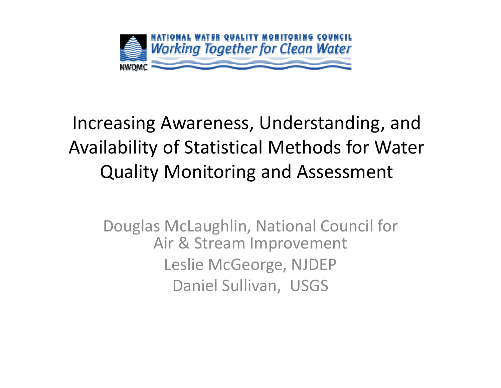

#### Increasing Awareness, Understanding, and Availability of Statistical Methods for Water Quality Monitoring and Assessment

Douglas McLaughlin, National Council for Air & Stream Improvement Leslie McGeorge, NJDEP Daniel Sullivan, USGS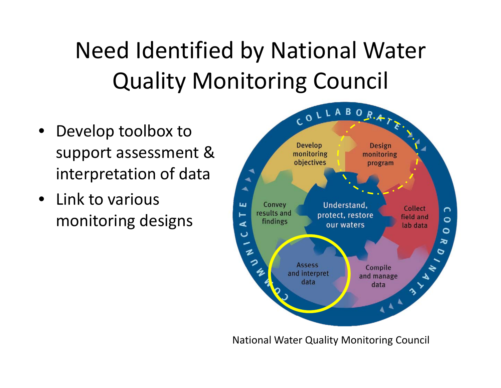Need Identified by National Water Quality Monitoring Council

- • Develop toolbox to support assessment & interpretation of data
- Link to various monitoring designs



National Water Quality Monitoring Council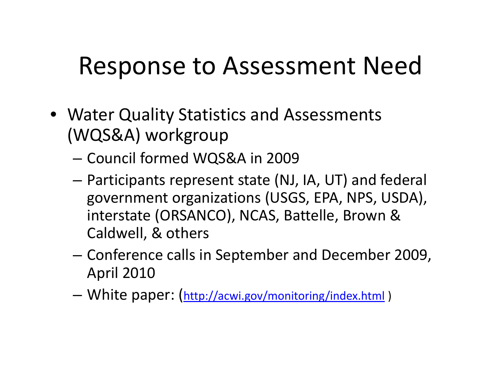### Response to Assessment Need

- Water Quality Statistics and Assessments (WQS&A) workgroup
	- –Council formed WQS&A in 2009
	- – Participants represent state (NJ, IA, UT) and federal government organizations (USGS, EPA, NPS, USDA), interstate (ORSANCO), NCAS, Battelle, Brown & Caldwell, & others
	- – Conference calls in September and December 2009, April 2010
	- –White paper: (http://acwi.gov/monitoring/index.html )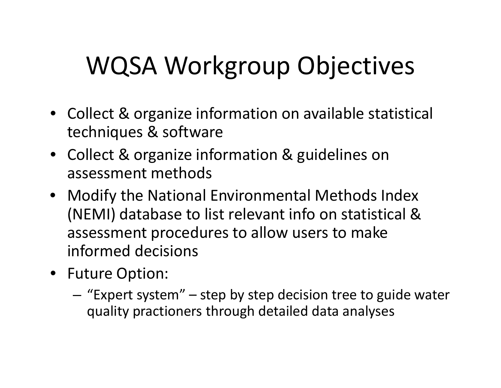# WQSA Workgroup Objectives

- Collect & organize information on available statistical techniques & software
- Collect & organize information & guidelines on assessment methods
- Modify the National Environmental Methods Index (NEMI) database to list relevant info on statistical & assessment procedures to allow users to make informed decisions
- Future Option:
	- – $-$  "Expert system"  $-$  step by step decision tree to guide water quality practioners through detailed data analyses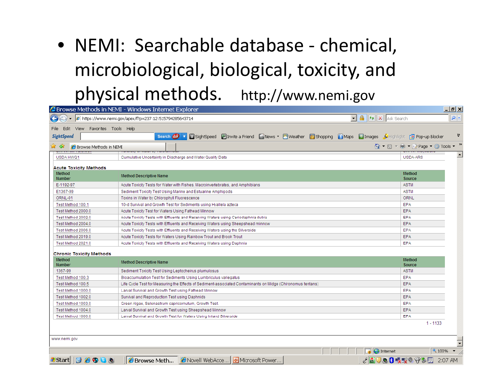#### • NEMI: Searchable database ‐ chemical, microbiological, biological, toxicity, and physical methods. http://www.nemi.gov

|                                                                                                                                                                                                                                                                                                                                                                                                                                                                                                                                                      | <b>C</b> Browse Methods in NEMI - Windows Internet Explorer                                                                                                                                                                                       |                                               | $  \mathbb{Z}$ $\times$ |
|------------------------------------------------------------------------------------------------------------------------------------------------------------------------------------------------------------------------------------------------------------------------------------------------------------------------------------------------------------------------------------------------------------------------------------------------------------------------------------------------------------------------------------------------------|---------------------------------------------------------------------------------------------------------------------------------------------------------------------------------------------------------------------------------------------------|-----------------------------------------------|-------------------------|
| 2 https://www.nemi.gov/apex/f?p=237:12:515794285643714<br>$\begin{array}{ c c c }\hline \multicolumn{1}{ c }{\quad \quad} & \hline \multicolumn{1}{ c }{\quad \quad} & \hline \multicolumn{1}{ c }{\quad \quad} & \hline \multicolumn{1}{ c }{\quad \quad} & \hline \multicolumn{1}{ c }{\quad \quad} & \hline \multicolumn{1}{ c }{\quad \quad} & \hline \multicolumn{1}{ c }{\quad \quad} & \hline \multicolumn{1}{ c }{\quad \quad} & \hline \multicolumn{1}{ c }{\quad \quad} & \hline \multicolumn{1}{ c }{\quad \quad} & \hline \multicolumn{$ |                                                                                                                                                                                                                                                   |                                               | $\rho$ .                |
| Edit View Favorites Tools Help<br>File                                                                                                                                                                                                                                                                                                                                                                                                                                                                                                               |                                                                                                                                                                                                                                                   |                                               |                         |
| <b>SightSpeed</b>                                                                                                                                                                                                                                                                                                                                                                                                                                                                                                                                    | BightSpeed <b>Extractly Finance Converter</b> Convention Convention Convention Convention Convention Convention Convention Convention Convention Convention Convention Convention Convention Convention Convention Convention Conve<br>Search Ask | Pop-up Blocker                                | ⋗                       |
| <b>C</b> Browse Methods in NEMI<br>-57                                                                                                                                                                                                                                                                                                                                                                                                                                                                                                               |                                                                                                                                                                                                                                                   |                                               | $\boldsymbol{y}$        |
| USDA HWQ1                                                                                                                                                                                                                                                                                                                                                                                                                                                                                                                                            | Cumulative Uncertainty in Discharge and Water Quality Data                                                                                                                                                                                        | USDA-ARS                                      | $\triangleq$            |
| <b>Acute Toxicity Methods</b>                                                                                                                                                                                                                                                                                                                                                                                                                                                                                                                        |                                                                                                                                                                                                                                                   |                                               |                         |
| <b>Method</b><br><b>Number</b>                                                                                                                                                                                                                                                                                                                                                                                                                                                                                                                       | <b>Method Descriptive Name</b>                                                                                                                                                                                                                    | <b>Method</b><br>Source                       |                         |
| E-1192-97                                                                                                                                                                                                                                                                                                                                                                                                                                                                                                                                            | Acute Toxicity Tests for Water with Fishes, Macroinvertebrates, and Amphibians                                                                                                                                                                    | <b>ASTM</b>                                   |                         |
| E1367-99                                                                                                                                                                                                                                                                                                                                                                                                                                                                                                                                             | Sediment Toxicity Test Using Marine and Estuarine Amphipods                                                                                                                                                                                       | <b>ASTM</b>                                   |                         |
| ORNL-01                                                                                                                                                                                                                                                                                                                                                                                                                                                                                                                                              | Toxins in Water by Chlorophyll Fluorescence                                                                                                                                                                                                       | ORNL                                          |                         |
| Test Method 100.1                                                                                                                                                                                                                                                                                                                                                                                                                                                                                                                                    | 10-d Survival and Growth Test for Sediments using Hyallela azteca                                                                                                                                                                                 | <b>EPA</b>                                    |                         |
| Test Method 2000.0                                                                                                                                                                                                                                                                                                                                                                                                                                                                                                                                   | Acute Toxicity Test for Waters Using Fathead Minnow                                                                                                                                                                                               | <b>EPA</b>                                    |                         |
| Test Method 2002.0                                                                                                                                                                                                                                                                                                                                                                                                                                                                                                                                   | Acute Toxicity Tests with Effluents and Receiving Waters using Ceriodaphnia dubia                                                                                                                                                                 | <b>EPA</b>                                    |                         |
| Test Method 2004.0                                                                                                                                                                                                                                                                                                                                                                                                                                                                                                                                   | Acute Toxicity Tests with Effluents and Receiving Waters using Sheepshead minnow                                                                                                                                                                  | <b>EPA</b>                                    |                         |
| Test Method 2006.0                                                                                                                                                                                                                                                                                                                                                                                                                                                                                                                                   | Acute Toxicity Tests with Effluents and Receiving Waters using the Silverside                                                                                                                                                                     | <b>EPA</b>                                    |                         |
| Test Method 2019.0                                                                                                                                                                                                                                                                                                                                                                                                                                                                                                                                   | Acute Toxicity Tests for Waters Using Rainbow Trout and Brook Trout                                                                                                                                                                               | <b>EPA</b>                                    |                         |
| Test Method 2021.0                                                                                                                                                                                                                                                                                                                                                                                                                                                                                                                                   | Acute Toxicity Tests with Effluents and Receiving Waters using Daphnia                                                                                                                                                                            | <b>EPA</b>                                    |                         |
| <b>Chronic Toxicity Methods</b>                                                                                                                                                                                                                                                                                                                                                                                                                                                                                                                      |                                                                                                                                                                                                                                                   |                                               |                         |
| <b>Method</b><br>Number                                                                                                                                                                                                                                                                                                                                                                                                                                                                                                                              | <b>Method Descriptive Name</b>                                                                                                                                                                                                                    | <b>Method</b><br>Source                       |                         |
| 1367-99                                                                                                                                                                                                                                                                                                                                                                                                                                                                                                                                              | Sediment Toxicity Test Using Leptocheirus plumulosus                                                                                                                                                                                              | <b>ASTM</b>                                   |                         |
| Test Method 100.3                                                                                                                                                                                                                                                                                                                                                                                                                                                                                                                                    | Bioaccumulation Test for Sediments Using Lumbriculus variegatus                                                                                                                                                                                   | <b>EPA</b>                                    |                         |
| Test Method 100.5                                                                                                                                                                                                                                                                                                                                                                                                                                                                                                                                    | Life Cycle Test for Measuring the Effects of Sediment-associated Contaminants on Midge (Chironomus tentans)                                                                                                                                       | <b>EPA</b>                                    |                         |
| Test Method 1000.0                                                                                                                                                                                                                                                                                                                                                                                                                                                                                                                                   | Larval Survival and Growth Test using Fathead Minnow                                                                                                                                                                                              | <b>EPA</b>                                    |                         |
| Test Method 1002.0                                                                                                                                                                                                                                                                                                                                                                                                                                                                                                                                   | Survival and Reproduction Test using Daphnids                                                                                                                                                                                                     | <b>EPA</b>                                    |                         |
| Test Method 1003.0                                                                                                                                                                                                                                                                                                                                                                                                                                                                                                                                   | Green Algae, Selenastrum capricornutum, Growth Test.                                                                                                                                                                                              | EPA                                           |                         |
| Test Method 1004.0                                                                                                                                                                                                                                                                                                                                                                                                                                                                                                                                   | Larval Survival and Growth Test using Sheepshead Minnow                                                                                                                                                                                           | <b>EPA</b>                                    |                         |
| Test Method 1006.0                                                                                                                                                                                                                                                                                                                                                                                                                                                                                                                                   | Larval Survival and Growth Test for Waters Using Inland Silverside                                                                                                                                                                                | <b>EPA</b>                                    |                         |
|                                                                                                                                                                                                                                                                                                                                                                                                                                                                                                                                                      |                                                                                                                                                                                                                                                   | $1 - 1133$                                    |                         |
|                                                                                                                                                                                                                                                                                                                                                                                                                                                                                                                                                      |                                                                                                                                                                                                                                                   |                                               |                         |
| www.nemi.gov                                                                                                                                                                                                                                                                                                                                                                                                                                                                                                                                         |                                                                                                                                                                                                                                                   |                                               | $\overline{\cdot}$      |
|                                                                                                                                                                                                                                                                                                                                                                                                                                                                                                                                                      | $\Box$ Internet                                                                                                                                                                                                                                   | $4100\%$                                      |                         |
| <b>BE980</b><br><b>#</b> Start                                                                                                                                                                                                                                                                                                                                                                                                                                                                                                                       | <b>Browse Meth C</b> Novell WebAcce <b>I</b> Microsoft Power                                                                                                                                                                                      | <b>A &amp; U O B 3 3 2 9 2 5 H</b><br>2:07 AM |                         |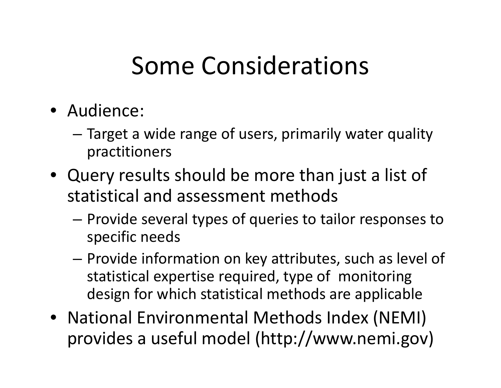### Some Considerations

- Audience:
	- – Target <sup>a</sup> wide range of users, primarily water quality practitioners
- $\bullet$  Query results should be more than just a list of statistical and assessment methods
	- – Provide several types of queries to tailor responses to specific needs
	- – $-$  Provide information on key attributes, such as level of statistical expertise required, type of monitoring design for which statistical methods are applicable
- National Environmental Methods Index (NEMI) provides <sup>a</sup> useful model (http://www.nemi.gov)